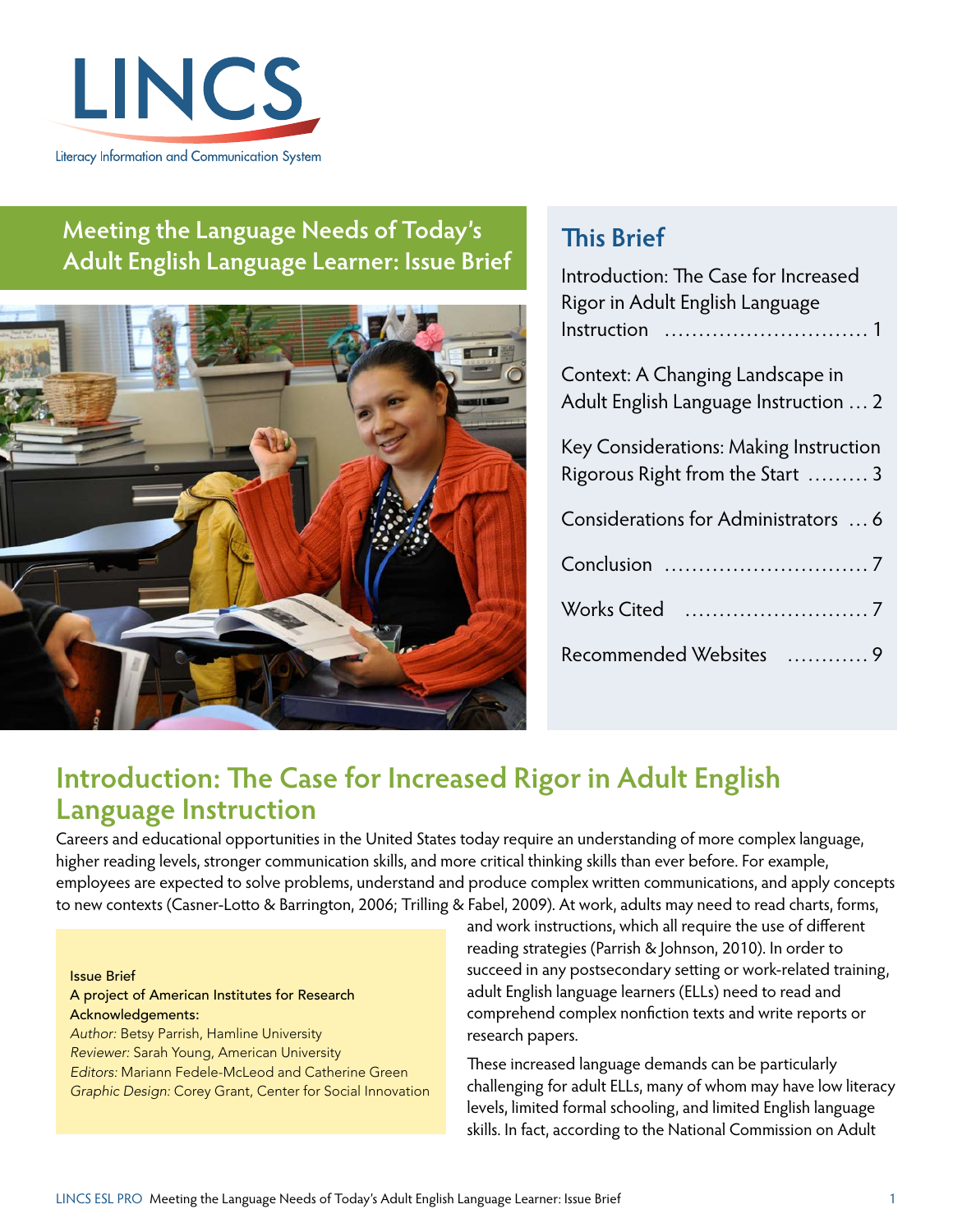

### **Meeting the Language Needs of Today's Adult English Language Learner: Issue Brief**



## **This Brief**

| Introduction: The Case for Increased<br>Rigor in Adult English Language    |
|----------------------------------------------------------------------------|
| Context: A Changing Landscape in<br>Adult English Language Instruction  2  |
| Key Considerations: Making Instruction<br>Rigorous Right from the Start  3 |
| Considerations for Administrators  6                                       |
|                                                                            |
| Works Cited                                                                |
| Recommended Websites<br>. 9                                                |

# **Introduction: The Case for Increased Rigor in Adult English Language Instruction**

Careers and educational opportunities in the United States today require an understanding of more complex language, higher reading levels, stronger communication skills, and more critical thinking skills than ever before. For example, employees are expected to solve problems, understand and produce complex written communications, and apply concepts to new contexts ([Casner-Lotto & Barrington, 2006;](#page-6-0) [Trilling & Fabel, 2009\)](#page-7-0). At work, adults may need to read charts, forms,

#### Issue Brief

A project of American Institutes for Research Acknowledgements: *Author:* Betsy Parrish, Hamline University *Reviewer:* Sarah Young, American University *Editors:* Mariann Fedele-McLeod and Catherine Green *Graphic Design:* Corey Grant, Center for Social Innovation and work instructions, which all require the use of different reading strategies ([Parrish & Johnson, 2010\)](#page-7-0). In order to succeed in any postsecondary setting or work-related training, adult English language learners (ELLs) need to read and comprehend complex nonfiction texts and write reports or research papers.

These increased language demands can be particularly challenging for adult ELLs, many of whom may have low literacy levels, limited formal schooling, and limited English language skills. In fact, according to the [National Commission on Adult](#page-7-0)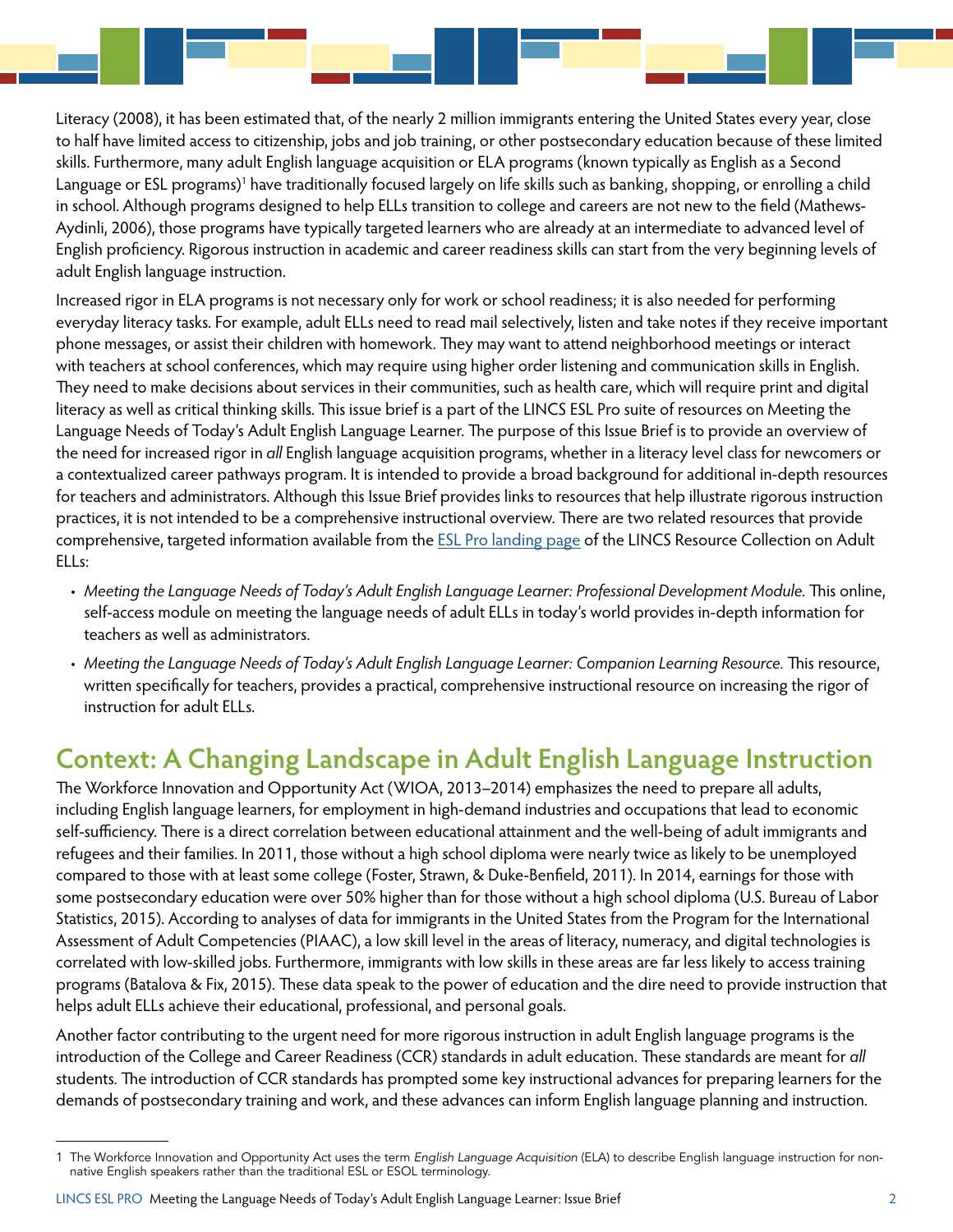<span id="page-1-0"></span>[Literacy \(2008\),](#page-7-0) it has been estimated that, of the nearly 2 million immigrants entering the United States every year, close to half have limited access to citizenship, jobs and job training, or other postsecondary education because of these limited skills. Furthermore, many adult English language acquisition or ELA programs (known typically as English as a Second Language or ESL programs)<sup>1</sup> have traditionally focused largely on life skills such as banking, shopping, or enrolling a child in school. Although programs designed to help ELLs transition to college and careers are not new to the field ([Mathews-](#page-7-0)[Aydinli, 2006\)](#page-7-0), those programs have typically targeted learners who are already at an intermediate to advanced level of English proficiency. Rigorous instruction in academic and career readiness skills can start from the very beginning levels of adult English language instruction.

Increased rigor in ELA programs is not necessary only for work or school readiness; it is also needed for performing everyday literacy tasks. For example, adult ELLs need to read mail selectively, listen and take notes if they receive important phone messages, or assist their children with homework. They may want to attend neighborhood meetings or interact with teachers at school conferences, which may require using higher order listening and communication skills in English. They need to make decisions about services in their communities, such as health care, which will require print and digital literacy as well as critical thinking skills. This issue brief is a part of the LINCS ESL Pro suite of resources on Meeting the Language Needs of Today's Adult English Language Learner. The purpose of this Issue Brief is to provide an overview of the need for increased rigor in *all* English language acquisition programs, whether in a literacy level class for newcomers or a contextualized career pathways program. It is intended to provide a broad background for additional in-depth resources for teachers and administrators. Although this Issue Brief provides links to resources that help illustrate rigorous instruction practices, it is not intended to be a comprehensive instructional overview. There are two related resources that provide comprehensive, targeted information available from the [ESL Pro landing page](https://lincs.ed.gov/programs/eslpro) of the LINCS Resource Collection on Adult ELLs:

- *Meeting the Language Needs of Today's Adult English Language Learner: Professional Development Module.* This online, self-access module on meeting the language needs of adult ELLs in today's world provides in-depth information for teachers as well as administrators.
- *Meeting the Language Needs of Today's Adult English Language Learner: Companion Learning Resource.* This resource, written specifically for teachers, provides a practical, comprehensive instructional resource on increasing the rigor of instruction for adult ELLs.

## **Context: A Changing Landscape in Adult English Language Instruction**

The Workforce Innovation and Opportunity Act [\(WIOA, 2013–2014\)](#page-7-0) emphasizes the need to prepare all adults, including English language learners, for employment in high-demand industries and occupations that lead to economic self-sufficiency. There is a direct correlation between educational attainment and the well-being of adult immigrants and refugees and their families. In 2011, those without a high school diploma were nearly twice as likely to be unemployed compared to those with at least some college [\(Foster, Strawn, & Duke-Benfield, 2011](#page-6-0)). In 2014, earnings for those with some postsecondary education were over 50% higher than for those without a high school diploma ([U.S. Bureau of Labor](#page-7-0)  [Statistics, 2015\)](#page-7-0). According to analyses of data for immigrants in the United States from the Program for the International Assessment of Adult Competencies (PIAAC), a low skill level in the areas of literacy, numeracy, and digital technologies is correlated with low-skilled jobs. Furthermore, immigrants with low skills in these areas are far less likely to access training programs [\(Batalova & Fix, 2015\)](#page-6-0). These data speak to the power of education and the dire need to provide instruction that helps adult ELLs achieve their educational, professional, and personal goals.

Another factor contributing to the urgent need for more rigorous instruction in adult English language programs is the introduction of the College and Career Readiness (CCR) standards in adult education. These standards are meant for *all* students. The introduction of CCR standards has prompted some key instructional advances for preparing learners for the demands of postsecondary training and work, and these advances can inform English language planning and instruction.

<sup>1</sup> The Workforce Innovation and Opportunity Act uses the term *English Language Acquisition* (ELA) to describe English language instruction for nonnative English speakers rather than the traditional ESL or ESOL terminology.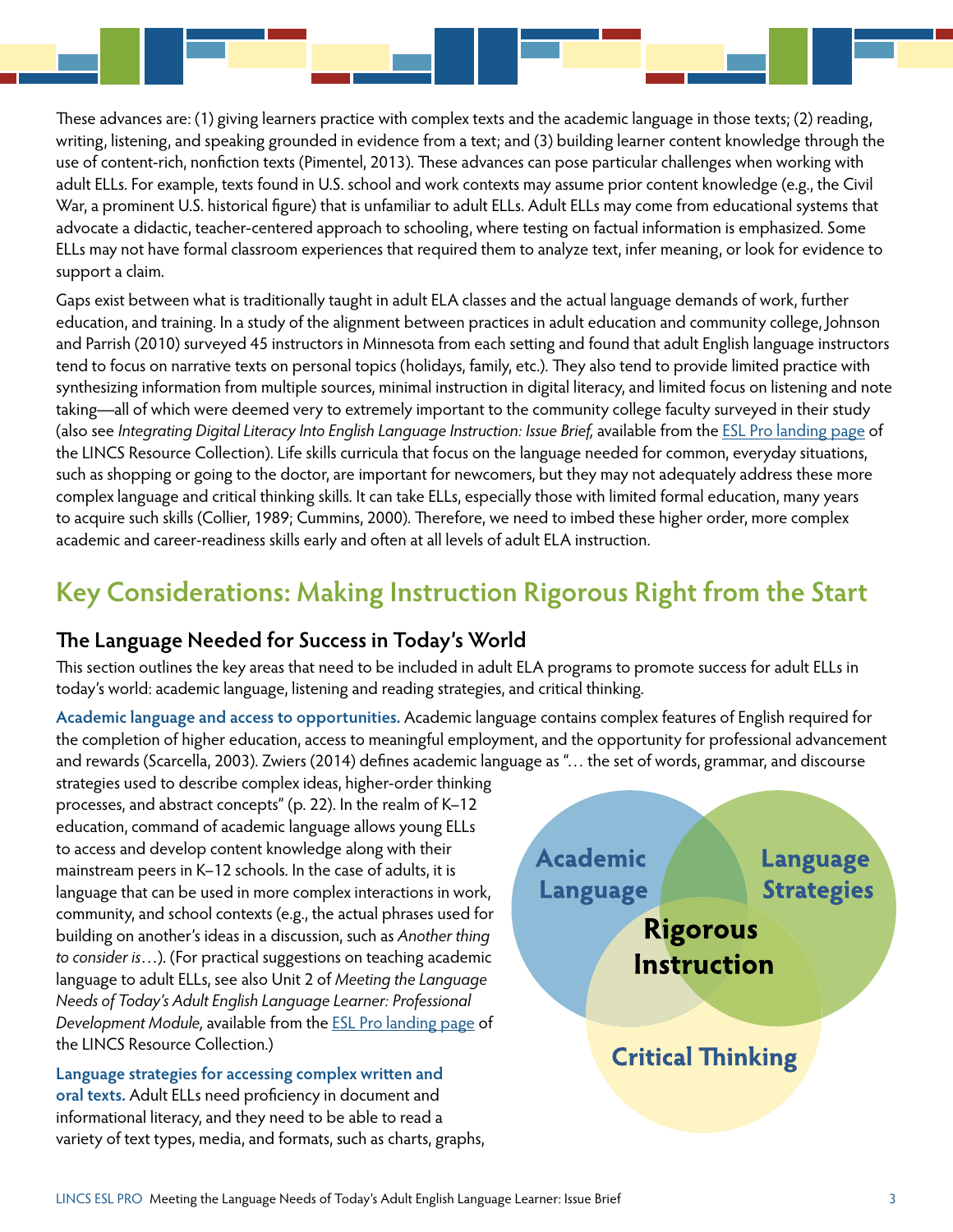<span id="page-2-0"></span>These advances are: (1) giving learners practice with complex texts and the academic language in those texts; (2) reading, writing, listening, and speaking grounded in evidence from a text; and (3) building learner content knowledge through the use of content-rich, nonfiction texts [\(Pimentel, 2013](#page-7-0)). These advances can pose particular challenges when working with adult ELLs. For example, texts found in U.S. school and work contexts may assume prior content knowledge (e.g., the Civil War, a prominent U.S. historical figure) that is unfamiliar to adult ELLs. Adult ELLs may come from educational systems that advocate a didactic, teacher-centered approach to schooling, where testing on factual information is emphasized. Some ELLs may not have formal classroom experiences that required them to analyze text, infer meaning, or look for evidence to support a claim.

Gaps exist between what is traditionally taught in adult ELA classes and the actual language demands of work, further education, and training. In a study of the alignment between practices in adult education and community college, [Johnson](#page-7-0)  [and Parrish \(2010\)](#page-7-0) surveyed 45 instructors in Minnesota from each setting and found that adult English language instructors tend to focus on narrative texts on personal topics (holidays, family, etc.). They also tend to provide limited practice with synthesizing information from multiple sources, minimal instruction in digital literacy, and limited focus on listening and note taking—all of which were deemed very to extremely important to the community college faculty surveyed in their study (also see *Integrating Digital Literacy Into English Language Instruction: Issue Brief,* available from the *ESL Pro landing page* of the LINCS Resource Collection). Life skills curricula that focus on the language needed for common, everyday situations, such as shopping or going to the doctor, are important for newcomers, but they may not adequately address these more complex language and critical thinking skills. It can take ELLs, especially those with limited formal education, many years to acquire such skills ([Collier, 1989](#page-6-0); [Cummins, 2000\)](#page-6-0). Therefore, we need to imbed these higher order, more complex academic and career-readiness skills early and often at all levels of adult ELA instruction.

# **Key Considerations: Making Instruction Rigorous Right from the Start**

### **The Language Needed for Success in Today's World**

This section outlines the key areas that need to be included in adult ELA programs to promote success for adult ELLs in today's world: academic language, listening and reading strategies, and critical thinking.

**Academic language and access to opportunities.** Academic language contains complex features of English required for the completion of higher education, access to meaningful employment, and the opportunity for professional advancement and rewards [\(Scarcella, 2003\)](#page-7-0). [Zwiers \(2014\)](#page-7-0) defines academic language as "... the set of words, grammar, and discourse

strategies used to describe complex ideas, higher-order thinking processes, and abstract concepts" (p. 22). In the realm of K–12 education, command of academic language allows young ELLs to access and develop content knowledge along with their mainstream peers in K–12 schools. In the case of adults, it is language that can be used in more complex interactions in work, community, and school contexts (e.g., the actual phrases used for building on another's ideas in a discussion, such as *Another thing*  to consider is...). (For practical suggestions on teaching academic language to adult ELLs, see also Unit 2 of *Meeting the Language Needs of Today's Adult English Language Learner: Professional Development Module,* available from the [ESL Pro landing page](https://lincs.ed.gov/programs/eslpro) of the LINCS Resource Collection.)

**Language strategies for accessing complex written and oral texts.** Adult ELLs need proficiency in document and informational literacy, and they need to be able to read a variety of text types, media, and formats, such as charts, graphs,

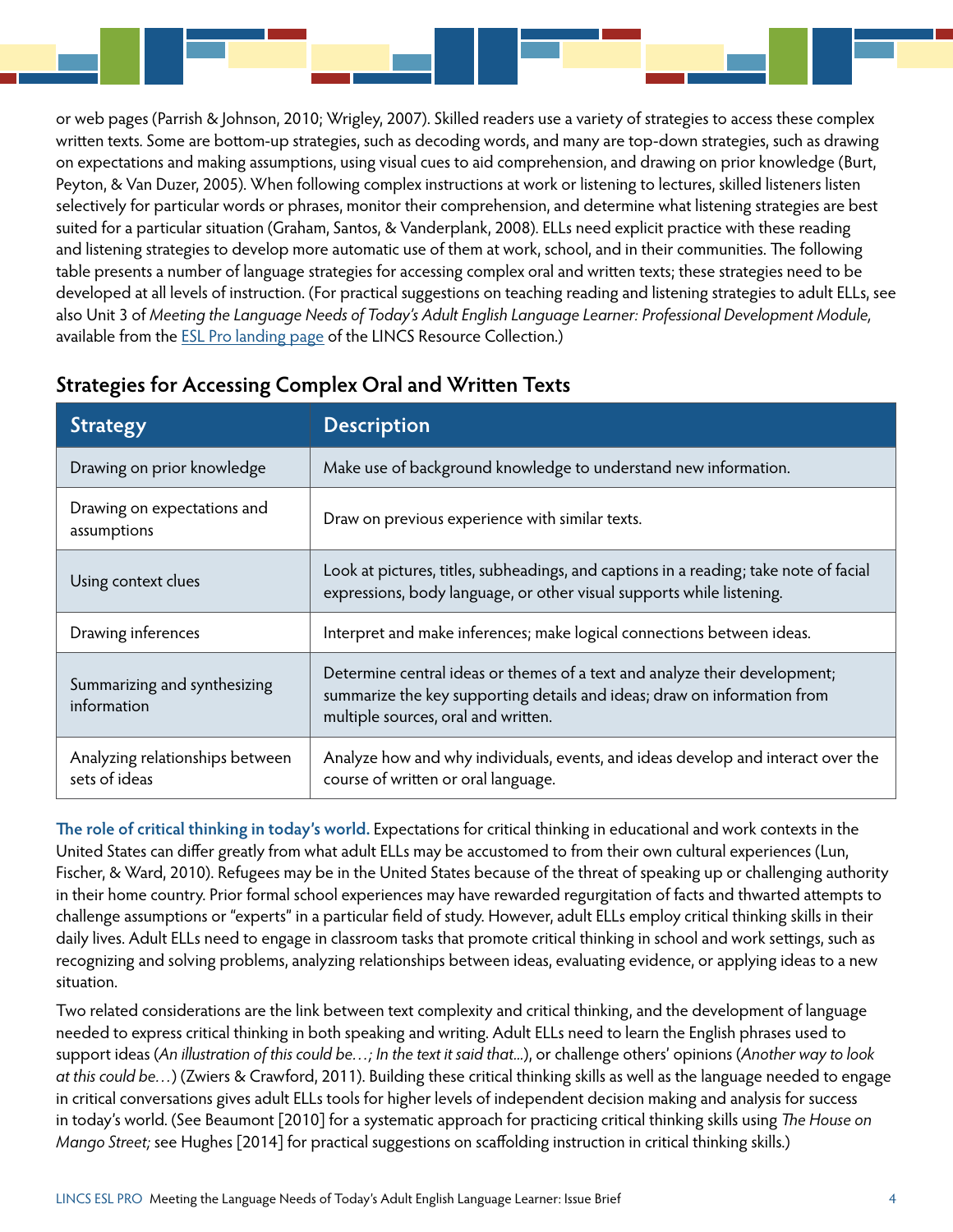or web pages [\(Parrish & Johnson, 2010; Wrigley, 2007](#page-7-0)). Skilled readers use a variety of strategies to access these complex written texts. Some are bottom-up strategies, such as decoding words, and many are top-down strategies, such as drawing on expectations and making assumptions, using visual cues to aid comprehension, and drawing on prior knowledge [\(Burt,](#page-6-0)  [Peyton, & Van Duzer, 2005\)](#page-6-0). When following complex instructions at work or listening to lectures, skilled listeners listen selectively for particular words or phrases, monitor their comprehension, and determine what listening strategies are best suited for a particular situation ([Graham, Santos, & Vanderplank, 2008\)](#page-7-0). ELLs need explicit practice with these reading and listening strategies to develop more automatic use of them at work, school, and in their communities. The following table presents a number of language strategies for accessing complex oral and written texts; these strategies need to be developed at all levels of instruction. (For practical suggestions on teaching reading and listening strategies to adult ELLs, see also Unit 3 of *Meeting the Language Needs of Today's Adult English Language Learner: Professional Development Module,*  available from the **[ESL Pro landing page](https://lincs.ed.gov/programs/eslpro) of the LINCS Resource Collection.**)

| <b>Strategy</b>                                  | <b>Description</b>                                                                                                                                                                            |
|--------------------------------------------------|-----------------------------------------------------------------------------------------------------------------------------------------------------------------------------------------------|
| Drawing on prior knowledge                       | Make use of background knowledge to understand new information.                                                                                                                               |
| Drawing on expectations and<br>assumptions       | Draw on previous experience with similar texts.                                                                                                                                               |
| Using context clues                              | Look at pictures, titles, subheadings, and captions in a reading; take note of facial<br>expressions, body language, or other visual supports while listening.                                |
| Drawing inferences                               | Interpret and make inferences; make logical connections between ideas.                                                                                                                        |
| Summarizing and synthesizing<br>information      | Determine central ideas or themes of a text and analyze their development;<br>summarize the key supporting details and ideas; draw on information from<br>multiple sources, oral and written. |
| Analyzing relationships between<br>sets of ideas | Analyze how and why individuals, events, and ideas develop and interact over the<br>course of written or oral language.                                                                       |

### **Strategies for Accessing Complex Oral and Written Texts**

**The role of critical thinking in today's world.** Expectations for critical thinking in educational and work contexts in the United States can differ greatly from what adult ELLs may be accustomed to from their own cultural experiences ([Lun,](#page-7-0)  [Fischer, & Ward, 2010](#page-7-0)). Refugees may be in the United States because of the threat of speaking up or challenging authority in their home country. Prior formal school experiences may have rewarded regurgitation of facts and thwarted attempts to challenge assumptions or "experts" in a particular field of study. However, adult ELLs employ critical thinking skills in their daily lives. Adult ELLs need to engage in classroom tasks that promote critical thinking in school and work settings, such as recognizing and solving problems, analyzing relationships between ideas, evaluating evidence, or applying ideas to a new situation.

Two related considerations are the link between text complexity and critical thinking, and the development of language needed to express critical thinking in both speaking and writing. Adult ELLs need to learn the English phrases used to support ideas (*An illustration of this could be…; In the text it said that...*), or challenge others' opinions (*Another way to look at this could be…*) [\(Zwiers & Crawford, 2011\)](#page-7-0). Building these critical thinking skills as well as the language needed to engage in critical conversations gives adult ELLs tools for higher levels of independent decision making and analysis for success in today's world. (See [Beaumont \[2010\]](#page-6-0) for a systematic approach for practicing critical thinking skills using *The House on Mango Street;* see [Hughes \[2014\]](#page-7-0) for practical suggestions on scaffolding instruction in critical thinking skills.)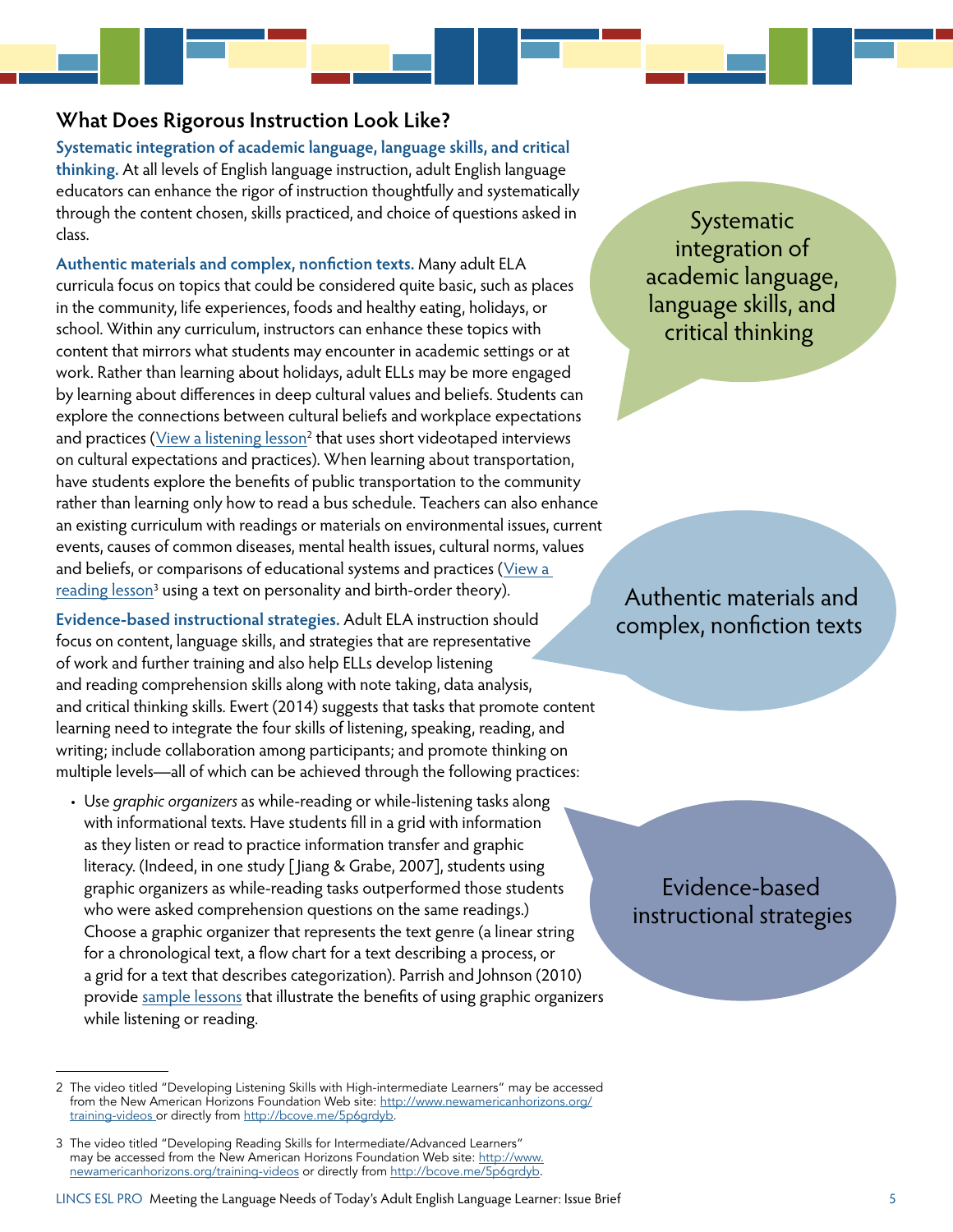#### **What Does Rigorous Instruction Look Like?**

**Systematic integration of academic language, language skills, and critical thinking.** At all levels of English language instruction, adult English language educators can enhance the rigor of instruction thoughtfully and systematically through the content chosen, skills practiced, and choice of questions asked in class.

**Authentic materials and complex, nonfiction texts.** Many adult ELA curricula focus on topics that could be considered quite basic, such as places in the community, life experiences, foods and healthy eating, holidays, or school. Within any curriculum, instructors can enhance these topics with content that mirrors what students may encounter in academic settings or at work. Rather than learning about holidays, adult ELLs may be more engaged by learning about differences in deep cultural values and beliefs. Students can explore the connections between cultural beliefs and workplace expectations and practices (<u>[View a listening lesson](http://bcove.me/j9ze5uui)<sup>2</sup></u> that uses short videotaped interviews on cultural expectations and practices). When learning about transportation, have students explore the benefits of public transportation to the community rather than learning only how to read a bus schedule. Teachers can also enhance an existing curriculum with readings or materials on environmental issues, current events, causes of common diseases, mental health issues, cultural norms, values and beliefs, or comparisons of educational systems and practices (V[iew a](http://bcove.me/5p6grdyb)  reading lesson<sup>3</sup> using a text on personality and birth-order theory).

**Evidence-based instructional strategies.** Adult ELA instruction should focus on content, language skills, and strategies that are representative of work and further training and also help ELLs develop listening and reading comprehension skills along with note taking, data analysis, and critical thinking skills. [Ewert \(2014\)](#page-6-0) suggests that tasks that promote content learning need to integrate the four skills of listening, speaking, reading, and writing; include collaboration among participants; and promote thinking on multiple levels—all of which can be achieved through the following practices:

• Use *graphic organizers* as while-reading or while-listening tasks along with informational texts. Have students fill in a grid with information as they listen or read to practice information transfer and graphic literacy. (Indeed, in one study [\[Jiang & Grabe, 2007\]](#page-7-0), students using graphic organizers as while-reading tasks outperformed those students who were asked comprehension questions on the same readings.) Choose a graphic organizer that represents the text genre (a linear string for a chronological text, a flow chart for a text describing a process, or a grid for a text that describes categorization). [Parrish and Johnson \(2010\)](#page-7-0) provide [sample lessons](http://lincs.ed.gov/professional-development/resource-collections/profile-418) that illustrate the benefits of using graphic organizers while listening or reading.

Systematic integration of academic language, language skills, and critical thinking

Authentic materials and complex, nonfiction texts

Evidence-based instructional strategies

<sup>2</sup> The video titled "Developing Listening Skills with High-intermediate Learners" may be accessed from the New American Horizons Foundation Web site: [http://www.newamericanhorizons.org/](http://www.newamericanhorizons.org/training-videos) [training-videos](http://www.newamericanhorizons.org/training-videos) or directly from [http://bcove.me/5p6grdyb.](http://bcove.me/j9ze5uui)

<sup>3</sup> The video titled "Developing Reading Skills for Intermediate/Advanced Learners" may be accessed from the New American Horizons Foundation Web site: [http://www.](http://www.newamericanhorizons.org/training-videos) [newamericanhorizons.org/training-videos](http://www.newamericanhorizons.org/training-videos) or directly from [http://bcove.me/5p6grdyb.](http://bcove.me/5p6grdyb)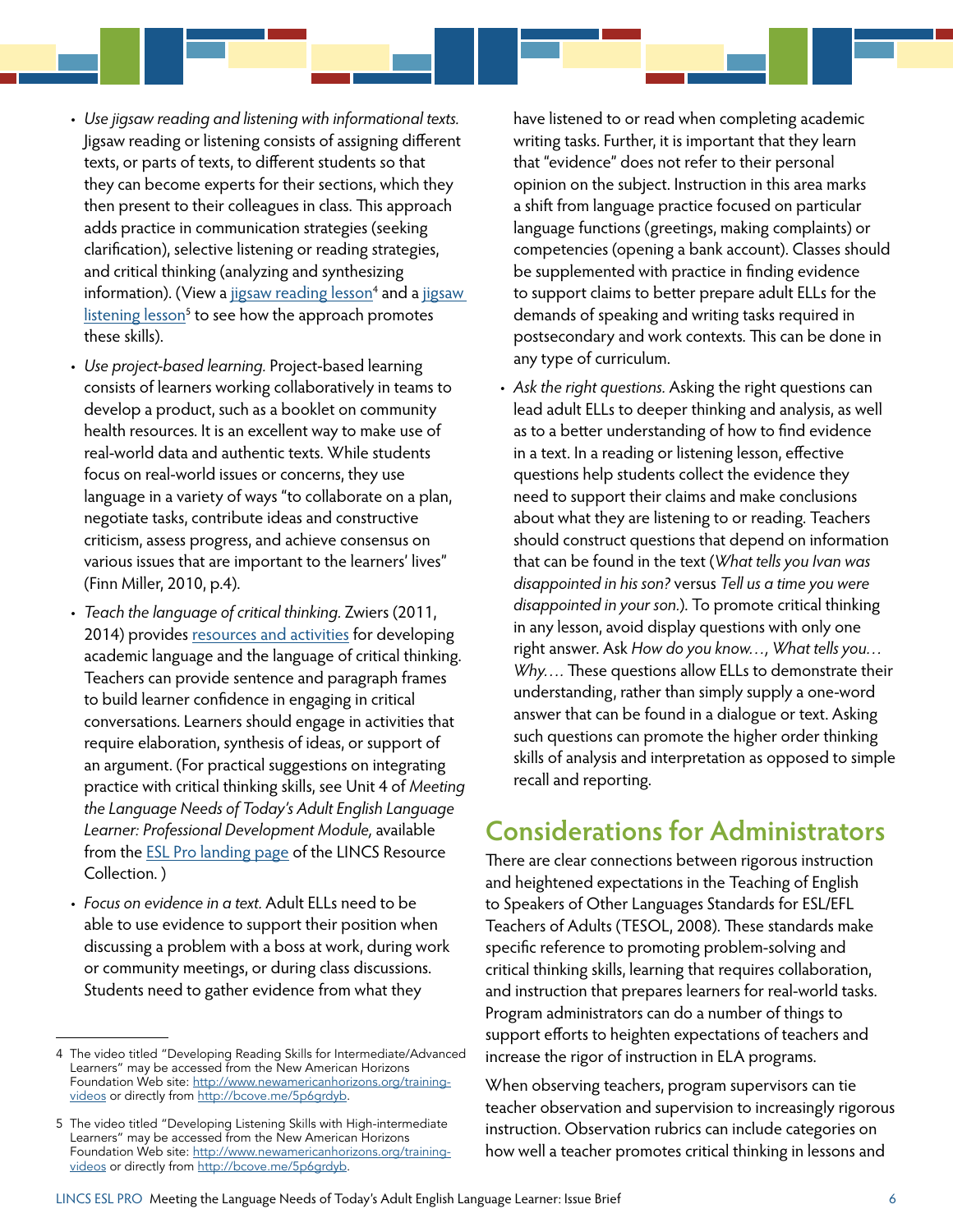- <span id="page-5-0"></span>• *Use jigsaw reading and listening with informational texts.* Jigsaw reading or listening consists of assigning different texts, or parts of texts, to different students so that they can become experts for their sections, which they then present to their colleagues in class. This approach adds practice in communication strategies (seeking clarification), selective listening or reading strategies, and critical thinking (analyzing and synthesizing information). (View a j<u>igsaw reading lesson</u><sup>4</sup> and a <u>[jigsaw](http://bcove.me/j9ze5uui)</u> [listening lesson](http://bcove.me/j9ze5uui)<sup>5</sup> to see how the approach promotes these skills).
- *Use project-based learning.* Project-based learning consists of learners working collaboratively in teams to develop a product, such as a booklet on community health resources. It is an excellent way to make use of real-world data and authentic texts. While students focus on real-world issues or concerns, they use language in a variety of ways "to collaborate on a plan, negotiate tasks, contribute ideas and constructive criticism, assess progress, and achieve consensus on various issues that are important to the learners' lives" [\(Finn Miller, 2010, p.4](#page-6-0)).
- *Teach the language of critical thinking.* [Zwiers \(2011,](#page-7-0) [2014\)](#page-7-0) provides [resources and activities](http://www.jeffzwiers.org) for developing academic language and the language of critical thinking. Teachers can provide sentence and paragraph frames to build learner confidence in engaging in critical conversations. Learners should engage in activities that require elaboration, synthesis of ideas, or support of an argument. (For practical suggestions on integrating practice with critical thinking skills, see Unit 4 of *Meeting the Language Needs of Today's Adult English Language Learner: Professional Development Module,* available from the [ESL Pro landing page](https://lincs.ed.gov/programs/eslpro) of the LINCS Resource Collection. )
- *Focus on evidence in a text.* Adult ELLs need to be able to use evidence to support their position when discussing a problem with a boss at work, during work or community meetings, or during class discussions. Students need to gather evidence from what they

have listened to or read when completing academic writing tasks. Further, it is important that they learn that "evidence" does not refer to their personal opinion on the subject. Instruction in this area marks a shift from language practice focused on particular language functions (greetings, making complaints) or competencies (opening a bank account). Classes should be supplemented with practice in finding evidence to support claims to better prepare adult ELLs for the demands of speaking and writing tasks required in postsecondary and work contexts. This can be done in any type of curriculum.

• *Ask the right questions.* Asking the right questions can lead adult ELLs to deeper thinking and analysis, as well as to a better understanding of how to find evidence in a text. In a reading or listening lesson, effective questions help students collect the evidence they need to support their claims and make conclusions about what they are listening to or reading. Teachers should construct questions that depend on information that can be found in the text (*What tells you Ivan was disappointed in his son?* versus *Tell us a time you were disappointed in your son.*). To promote critical thinking in any lesson, avoid display questions with only one right answer. Ask *How do you know…, What tells you… Why….* These questions allow ELLs to demonstrate their understanding, rather than simply supply a one-word answer that can be found in a dialogue or text. Asking such questions can promote the higher order thinking skills of analysis and interpretation as opposed to simple recall and reporting.

### **Considerations for Administrators**

There are clear connections between rigorous instruction and heightened expectations in the Teaching of English to Speakers of Other Languages Standards for ESL/EFL Teachers of Adults [\(TESOL, 2008\)](#page-7-0). These standards make specific reference to promoting problem-solving and critical thinking skills, learning that requires collaboration, and instruction that prepares learners for real-world tasks. Program administrators can do a number of things to support efforts to heighten expectations of teachers and increase the rigor of instruction in ELA programs.

When observing teachers, program supervisors can tie teacher observation and supervision to increasingly rigorous instruction. Observation rubrics can include categories on how well a teacher promotes critical thinking in lessons and

<sup>4</sup> The video titled "Developing Reading Skills for Intermediate/Advanced Learners" may be accessed from the New American Horizons Foundation Web site: [http://www.newamericanhorizons.org/training](http://www.newamericanhorizons.org/training-videos)[videos](http://www.newamericanhorizons.org/training-videos) or directly from [http://bcove.me/5p6grdyb.](http://bcove.me/5p6grdyb)

<sup>5</sup> The video titled "Developing Listening Skills with High-intermediate Learners" may be accessed from the New American Horizons Foundation Web site: [http://www.newamericanhorizons.org/training](http://www.newamericanhorizons.org/training-videos)[videos](http://www.newamericanhorizons.org/training-videos) or directly from [http://bcove.me/5p6grdyb.](http://bcove.me/j9ze5uui)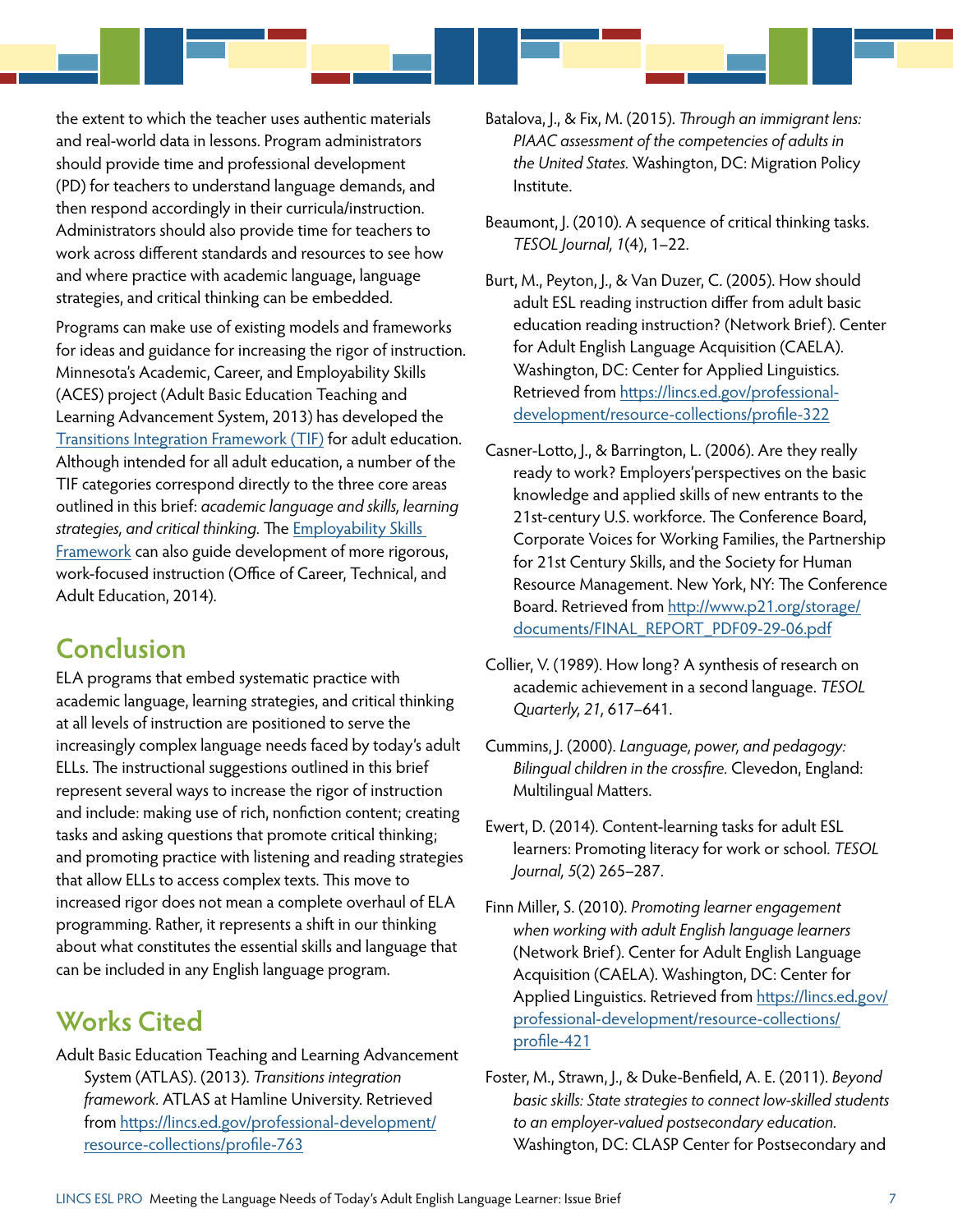<span id="page-6-0"></span>the extent to which the teacher uses authentic materials and real-world data in lessons. Program administrators should provide time and professional development (PD) for teachers to understand language demands, and then respond accordingly in their curricula/instruction. Administrators should also provide time for teachers to work across different standards and resources to see how and where practice with academic language, language strategies, and critical thinking can be embedded.

Programs can make use of existing models and frameworks for ideas and guidance for increasing the rigor of instruction. Minnesota's Academic, Career, and Employability Skills (ACES) project (Adult Basic Education Teaching and Learning Advancement System, 2013) has developed the [Transitions Integration Framework \(TIF\)](http://lincs.ed.gov/professional-development/resource-collections/profile-763) for adult education. Although intended for all adult education, a number of the TIF categories correspond directly to the three core areas outlined in this brief: *academic language and skills, learning strategies, and critical thinking.* The [Employability Skills](http://cte.ed.gov/employabilityskills/)  [Framework](http://cte.ed.gov/employabilityskills/) can also guide development of more rigorous, work-focused instruction [\(Office of Career, Technical, and](#page-7-0)  [Adult Education, 2014\)](#page-7-0).

## **Conclusion**

ELA programs that embed systematic practice with academic language, learning strategies, and critical thinking at all levels of instruction are positioned to serve the increasingly complex language needs faced by today's adult ELLs. The instructional suggestions outlined in this brief represent several ways to increase the rigor of instruction and include: making use of rich, nonfiction content; creating tasks and asking questions that promote critical thinking; and promoting practice with listening and reading strategies that allow ELLs to access complex texts. This move to increased rigor does not mean a complete overhaul of ELA programming. Rather, it represents a shift in our thinking about what constitutes the essential skills and language that can be included in any English language program.

## **Works Cited**

Adult Basic Education Teaching and Learning Advancement System (ATLAS). (2013). *Transitions integration framework.* ATLAS at Hamline University. Retrieved from [https://lincs.ed.gov/professional-development/](https://lincs.ed.gov/professional-development/resource-collections/profile-763) [resource-collections/profile-763](https://lincs.ed.gov/professional-development/resource-collections/profile-763)

- Batalova, J., & Fix, M. (2015). *Through an immigrant lens: PIAAC assessment of the competencies of adults in the United States.* Washington, DC: Migration Policy Institute.
- Beaumont, J. (2010). A sequence of critical thinking tasks. *TESOL Journal, 1*(4), 1–22.
- Burt, M., Peyton, J., & Van Duzer, C. (2005). How should adult ESL reading instruction differ from adult basic education reading instruction? (Network Brief). Center for Adult English Language Acquisition (CAELA). Washington, DC: Center for Applied Linguistics. Retrieved from [https://lincs.ed.gov/professional](https://lincs.ed.gov/professional-development/resource-collections/profile-322)[development/resource-collections/profile-322](https://lincs.ed.gov/professional-development/resource-collections/profile-322)
- Casner-Lotto, J., & Barrington, L. (2006). Are they really ready to work? Employers'perspectives on the basic knowledge and applied skills of new entrants to the 21st-century U.S. workforce. The Conference Board, Corporate Voices for Working Families, the Partnership for 21st Century Skills, and the Society for Human Resource Management. New York, NY: The Conference Board. Retrieved from [http://www.p21.org/storage/](http://www.p21.org/storage/documents/FINAL_REPORT_PDF09-29-06.pdf) [documents/FINAL\\_REPORT\\_PDF09-29-06.pdf](http://www.p21.org/storage/documents/FINAL_REPORT_PDF09-29-06.pdf)
- Collier, V. (1989). How long? A synthesis of research on academic achievement in a second language. *TESOL Quarterly, 21,* 617–641.
- Cummins, J. (2000). *Language, power, and pedagogy: Bilingual children in the crossfire.* Clevedon, England: Multilingual Matters.
- Ewert, D. (2014). Content-learning tasks for adult ESL learners: Promoting literacy for work or school. *TESOL Journal, 5*(2) 265–287.
- Finn Miller, S. (2010). *Promoting learner engagement when working with adult English language learners* (Network Brief). Center for Adult English Language Acquisition (CAELA). Washington, DC: Center for Applied Linguistics. Retrieved from [https://lincs.ed.gov/](https://lincs.ed.gov/professional-development/resource-collections/profile-421) [professional-development/resource-collections/](https://lincs.ed.gov/professional-development/resource-collections/profile-421) [profile-421](https://lincs.ed.gov/professional-development/resource-collections/profile-421)
- Foster, M., Strawn, J., & Duke-Benfield, A. E. (2011). *Beyond basic skills: State strategies to connect low-skilled students to an employer-valued postsecondary education.*  Washington, DC: CLASP Center for Postsecondary and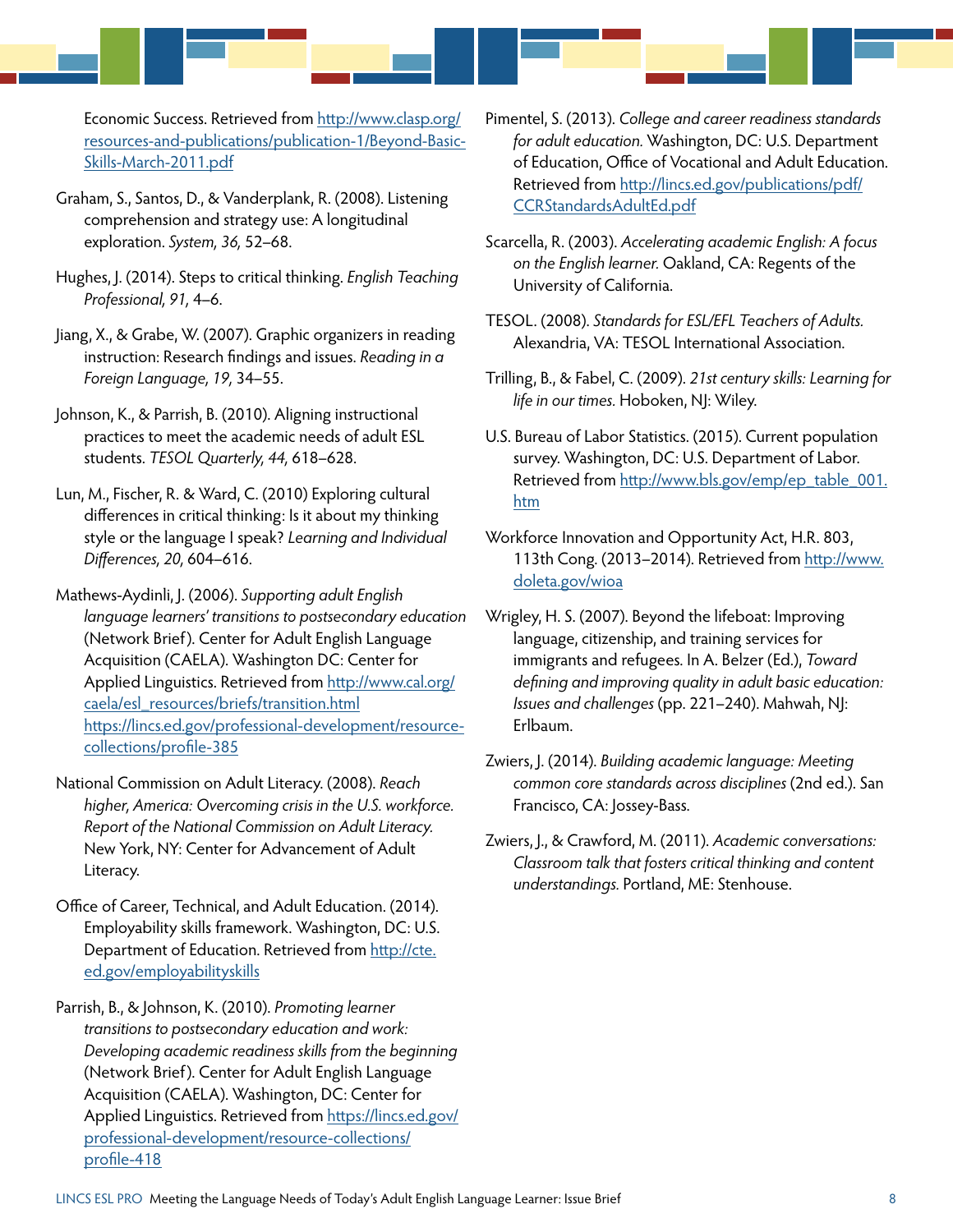<span id="page-7-0"></span>Economic Success. Retrieved from [http://www.clasp.org/](http://www.clasp.org/resources-and-publications/publication-1/Beyond-Basic-Skills-March-2011.pdf) [resources-and-publications/publication-1/Beyond-Basic-](http://www.clasp.org/resources-and-publications/publication-1/Beyond-Basic-Skills-March-2011.pdf)[Skills-March-2011.pdf](http://www.clasp.org/resources-and-publications/publication-1/Beyond-Basic-Skills-March-2011.pdf)

- Graham, S., Santos, D., & Vanderplank, R. (2008). Listening comprehension and strategy use: A longitudinal exploration. *System, 36,* 52–68.
- Hughes, J. (2014). Steps to critical thinking. *English Teaching Professional, 91,* 4–6.
- Jiang, X., & Grabe, W. (2007). Graphic organizers in reading instruction: Research findings and issues. *Reading in a Foreign Language, 19,* 34–55.
- Johnson, K., & Parrish, B. (2010). Aligning instructional practices to meet the academic needs of adult ESL students. *TESOL Quarterly, 44,* 618–628.
- Lun, M., Fischer, R. & Ward, C. (2010) Exploring cultural differences in critical thinking: Is it about my thinking style or the language I speak? *Learning and Individual Differences, 20,* 604–616.
- Mathews-Aydinli, J. (2006). *Supporting adult English language learners' transitions to postsecondary education* (Network Brief). Center for Adult English Language Acquisition (CAELA). Washington DC: Center for Applied Linguistics. Retrieved from [http://www.cal.org/](http://www.cal.org/caela/esl_resources/briefs/transition.html) [caela/esl\\_resources/briefs/transition.html](http://www.cal.org/caela/esl_resources/briefs/transition.html) https://lincs.ed.gov/professional-development/resourcecollections/profile-385
- National Commission on Adult Literacy. (2008). *Reach higher, America: Overcoming crisis in the U.S. workforce. Report of the National Commission on Adult Literacy.* New York, NY: Center for Advancement of Adult Literacy.
- Office of Career, Technical, and Adult Education. (2014). Employability skills framework. Washington, DC: U.S. Department of Education. Retrieved from [http://cte.](http://cte.ed.gov/employabilityskills/) [ed.gov/employabilityskills](http://cte.ed.gov/employabilityskills/)
- Parrish, B., & Johnson, K. (2010). *Promoting learner transitions to postsecondary education and work: Developing academic readiness skills from the beginning*  (Network Brief). Center for Adult English Language Acquisition (CAELA). Washington, DC: Center for Applied Linguistics. Retrieved from [https://lincs.ed.gov/](https://lincs.ed.gov/professional-development/resource-collections/profile-418) [professional-development/resource-collections/](https://lincs.ed.gov/professional-development/resource-collections/profile-418) [profile-418](https://lincs.ed.gov/professional-development/resource-collections/profile-418)
- Pimentel, S. (2013). *College and career readiness standards for adult education.* Washington, DC: U.S. Department of Education, Office of Vocational and Adult Education. Retrieved from [http://lincs.ed.gov/publications/pdf/](http://lincs.ed.gov/publications/pdf/CCRStandardsAdultEd.pdf) [CCRStandardsAdultEd.pdf](http://lincs.ed.gov/publications/pdf/CCRStandardsAdultEd.pdf)
- Scarcella, R. (2003). *Accelerating academic English: A focus on the English learner.* Oakland, CA: Regents of the University of California.
- TESOL. (2008). *Standards for ESL/EFL Teachers of Adults.*  Alexandria, VA: TESOL International Association.
- Trilling, B., & Fabel, C. (2009). *21st century skills: Learning for life in our times.* Hoboken, NJ: Wiley.
- U.S. Bureau of Labor Statistics. (2015). Current population survey. Washington, DC: U.S. Department of Labor. Retrieved from [http://www.bls.gov/emp/ep\\_table\\_001.](http://www.bls.gov/emp/ep_table_001.htm) [htm](http://www.bls.gov/emp/ep_table_001.htm)
- Workforce Innovation and Opportunity Act, H.R. 803, 113th Cong. (2013–2014). Retrieved from [http://www.](http://www.doleta.gov/wioa/) [doleta.gov/wioa](http://www.doleta.gov/wioa/)
- Wrigley, H. S. (2007). Beyond the lifeboat: Improving language, citizenship, and training services for immigrants and refugees. In A. Belzer (Ed.), *Toward defining and improving quality in adult basic education: Issues and challenges* (pp. 221–240). Mahwah, NJ: Erlbaum.
- Zwiers, J. (2014). *Building academic language: Meeting common core standards across disciplines* (2nd ed.). San Francisco, CA: Jossey-Bass.
- Zwiers, J., & Crawford, M. (2011). *Academic conversations: Classroom talk that fosters critical thinking and content understandings.* Portland, ME: Stenhouse.